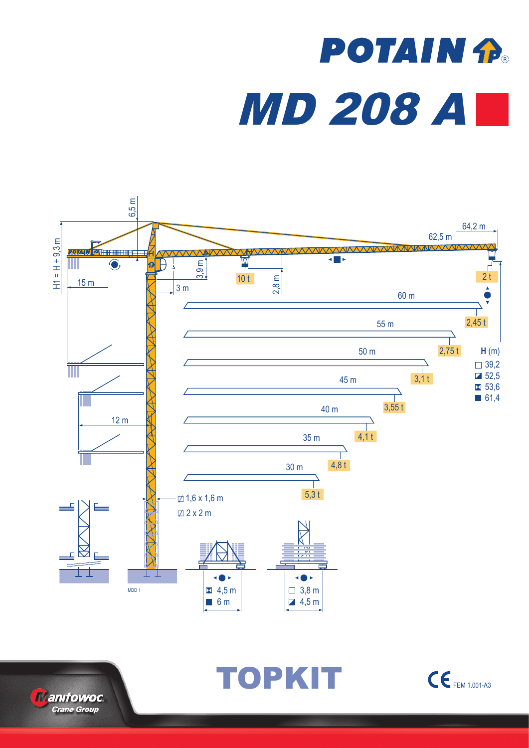## **POTAIN P.** MD 208 A



**Manifowoc Crane Group** 

TOPKIT CEFEM 1.001-A3

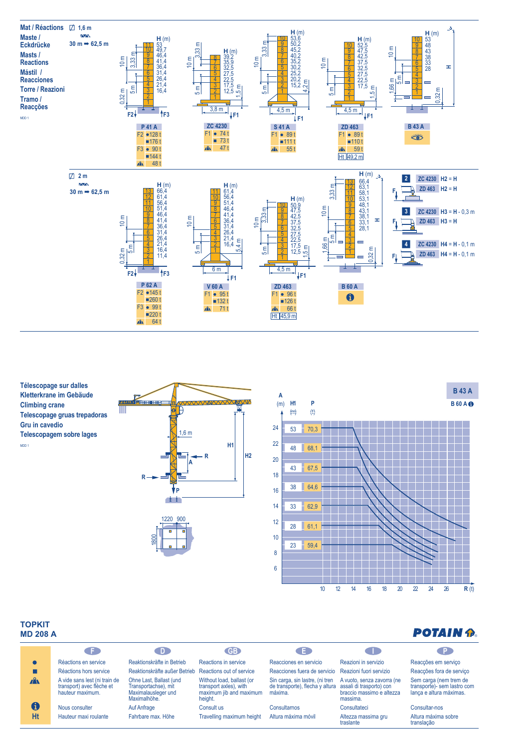



## **TOPKIT MD 208 A**

| 11 208 A                                                                       |                                                                                        |                                                                                           |                                            |                                                                     | PU IAIN TR                                                                          |
|--------------------------------------------------------------------------------|----------------------------------------------------------------------------------------|-------------------------------------------------------------------------------------------|--------------------------------------------|---------------------------------------------------------------------|-------------------------------------------------------------------------------------|
|                                                                                | $\Box$                                                                                 | <b>GB</b>                                                                                 | E.                                         | a ka                                                                | CP.                                                                                 |
| Réactions en service                                                           | Reaktionskräfte in Betrieb                                                             | Reactions in service                                                                      | Reacciones en servicio                     | Reazioni in servizio                                                | Reacções em serviço                                                                 |
| Réactions hors service                                                         | Reaktionskräfte außer Betrieb                                                          |                                                                                           |                                            |                                                                     | Reacções fora de serviço                                                            |
| A vide sans lest (ni train de<br>transport) avec flèche et<br>hauteur maximum. | Ohne Last. Ballast (und<br>Transportachse), mit<br>Maximalausleger und<br>Maximalhöhe. | Without load, ballast (or<br>transport axles), with<br>maximum jib and maximum<br>height. | Sin carga, sin lastre, (ni tren<br>máxima. | A vuoto, senza zavorra (ne<br>braccio massimo e altezza<br>massima. | Sem carga (nem trem de<br>transporte)- sem lastro com<br>lança e altura máximas.    |
| Nous consulter                                                                 | Auf Anfrage                                                                            | Consult us                                                                                | Consultarnos                               | Consultateci                                                        | Consultar-nos                                                                       |
| Hauteur maxi roulante                                                          | Fahrbare max. Höhe                                                                     | Travelling maximum height                                                                 | Altura máxima móvil                        | Altezza massima gru<br>traslante                                    | Altura máxima sobre<br>translação                                                   |
|                                                                                |                                                                                        |                                                                                           | Reactions out of service                   | Reacciones fuera de servicio                                        | Reazioni fuori servizio<br>de transporte), flecha y altura assali di trasporto) con |

10 12 14 16 18 20 22 24 26

**R** (t)

**ATAIN**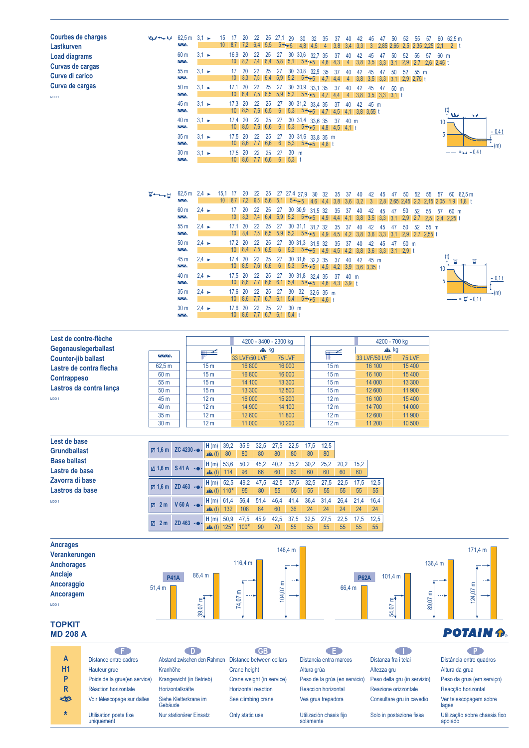| Curva de cargas<br>$3.1 \rightarrow$<br>17.1<br>20<br>30 30,9 33,1 35<br>50 <sub>m</sub><br>22<br>25<br>27<br>37<br>40<br>42<br>45<br>47<br>50 <sub>m</sub><br>10 8,4 7,5 6,5 5,9 5,2 $5 \rightarrow 4$ ,7 4,4<br>$\sqrt{N}$<br>3,8<br>$\overline{4}$<br>$3,5$ $3,3$ $3,1$ t<br>MDD <sub>1</sub><br>30 31,2 33,4 35<br>45 <sub>m</sub><br>$3.1 \rightarrow$<br>17,3 20 22 25<br>27<br>37<br>40<br>42 45 m<br>$10 \quad 8.5 \quad 7.6 \quad 6.5$<br>6 $5,3$ $5 \rightarrow 5$ 4,7 4,5 4,1 3,8 3,55 t<br>$\sqrt{N}$<br>أفيطانه<br><b>kal</b><br>40 <sub>m</sub><br>17.4 20<br>22 25<br>30 31,4 33,6 35<br>$3.1 \rightarrow$<br>27<br>37 40 m<br>10 <sup>1</sup><br>10 8,5 7,6 6,6 6 5,3 $5 \rightarrow 5$ 4,8 4,5 4,1 t<br>$\sim$<br>$-0,4t$<br>5<br>35 <sub>m</sub><br>$3.1 \rightarrow$<br>30 31,6 33,8 35 m<br>17,5 20 22<br>25<br>27<br>10 8,6 7,7 6,6 6 5,3 $5 \rightarrow 5$ 4.8 t<br>$\sim$<br>-(m)<br>$-- = 64 - 0.41$<br>30 <sub>m</sub><br>17,5 20<br>22<br>30 m<br>$3.1 -$<br>25<br>27<br>10 8.6 7.7 6.6 6 5.3 t<br>$\overline{\wedge}$<br>62,5 m<br>$2.4 \rightarrow$<br>15,1<br>27 27,4 27.9<br>-17<br>20<br>22<br>25<br>₩←→≖<br>30 32<br>35<br>60 62,5 m<br>-37<br>45<br>- 50<br>52<br>55<br>57<br>40<br>42<br>47<br>6,5<br>$10 \t 8.7$<br>5,6<br>5.1<br>$5 \rightarrow 5$ 4,6 4,4 3,8 3,6 3,2<br>$\overline{\wedge}$<br>$\mathbf{3}$<br>2.8 2.65 2.45 2.3 2.15 2.05 1.9 1.8 t<br>$2.4 \rightarrow$<br>60 <sub>m</sub><br>17<br><b>20</b><br>30 30,9 31.5 32<br>-22<br>-25<br>-27<br>35<br>37<br>40<br>42<br>50<br>52<br>55<br>60 m<br>45<br>-57<br>47<br>$10$ 8,3 7,4 6,4 5,9 5,2 5++5 4.9<br>$\overline{N}$<br>4.4<br>3.8<br>3.5<br>2.9 2.7 2.5 2.4 2.25 t<br>4.1<br>3.3<br>3.1<br>$2.4 \rightarrow$<br>55 <sub>m</sub><br>30 31,1 31,7 32<br>17.1<br>20<br>22<br>25<br>27<br>35<br>$52^{\circ}$<br>-37<br>40<br>42<br>50<br>55 m<br>$7,5$ 6,5 5,9 5,2 5++5 4.9<br>$10 \t 8.4$<br>$\overline{\wedge}\wedge$<br>4.5<br>4.2<br>3,8<br>3.6<br>2,9 2,7 2,55 t<br>3.3<br>$2.4 \rightarrow$<br>17.2 20<br>22<br>30 31,3 31.9 32<br>50 <sub>m</sub><br>25<br>27<br>35<br>-37<br>42<br>47 50 m<br>40<br>45<br>7,5<br>6.5<br>6<br>$\overline{\wedge}$<br>$10 \quad 8.4$<br>$5,3$ $5+5$ 4.9<br>4,5<br>4,2<br>3,8<br>$3,6$ $3,3$ $3,1$ $2,9$ t<br>$2.4 \rightarrow$<br>17.4 20<br>22<br>30 31,6 32.2 35<br>45 m<br>25<br>27<br>37<br>40<br>42<br>45 m<br>Ħ<br>$\mathbf{w}$<br>10 8.5 7.6 6.6<br>$6^{\circ}$<br>$5,3$ $5 \rightarrow -5$ $4,5$ $4,2$ $3,9$ $3,6$ $3,35$ t<br>$\overline{N}$<br>10 <sup>°</sup><br>$2.4 \rightarrow$<br>40 <sub>m</sub><br>17,5 20<br>22<br>30 31,8 32,4 35<br>25<br>27<br>37 40 m<br>5<br>10 8,6 7,7 6,6 6,1 5,4 $5+5$ 4,6 4,3 3,9 t<br>$\sim$<br>35 <sub>m</sub><br>17,6 20<br>22 25 27 30 32 32.6 35 m<br>$2.4 \rightarrow$<br>$\mathsf{L}(m)$<br>$-- = \pm -0.1t$<br>$\sim$ | Courbes de charges<br>الحاجة المطالح<br>Lastkurven<br><b>Load diagrams</b><br>Curvas de cargas<br>Curve di carico | 62.5 m<br>ΔΔ<br>60 m<br>$\overline{\wedge}\wedge$<br>55 <sub>m</sub><br>$\sqrt{N}$ | $3.1 \rightarrow$<br>$3.1 \rightarrow$<br>$3.1 \rightarrow$ | 15 | -17<br>$10 \quad 8.7 \quad 7.2 \quad 6.4 \quad 5.5 \quad 5 \rightarrow 5 \quad 4.8$<br>16.9 20<br>$10-10$<br>17 | 20<br>8.2<br>20<br>$10 \quad 8.3$ | -22<br>22<br>7.4<br>22<br>7.5 | 25<br>6.4<br>25<br>6,4 | 25 27,1 29<br>27<br>$5.8$ $5.1$<br>27 | 30 | 32<br>4.5<br>30 30,6 32.7 35<br>$5 + 5$<br>30 30,8 32,9 35<br>$5,9$ $5,2$ $5 \rightarrow 5$ 4.7 | 35<br>$\overline{4}$<br>$-4.6$ | 37<br>3.8<br>37<br>4.3<br>37<br>4.4 | 40<br>3.4<br>40<br>$\overline{4}$<br>40<br>$\overline{4}$ | 42<br>3.3<br>42<br>3.8<br>42<br>3.8 | 45<br>$\mathbf{3}$<br>3.5<br>3.5 | 47<br>3.3<br>3.3 | 50<br>3.1<br>50<br>$3,1$ 2.9 2.75 t | 52<br>52<br>52 | -55<br>55<br>55 <sub>m</sub> | -57<br>-57<br>2.9 2.7 2.6 2.45 t | 60 m | 60 62.5 m<br>2.85 2.65 2.5 2.35 2.25 2.1 2 t |         |
|------------------------------------------------------------------------------------------------------------------------------------------------------------------------------------------------------------------------------------------------------------------------------------------------------------------------------------------------------------------------------------------------------------------------------------------------------------------------------------------------------------------------------------------------------------------------------------------------------------------------------------------------------------------------------------------------------------------------------------------------------------------------------------------------------------------------------------------------------------------------------------------------------------------------------------------------------------------------------------------------------------------------------------------------------------------------------------------------------------------------------------------------------------------------------------------------------------------------------------------------------------------------------------------------------------------------------------------------------------------------------------------------------------------------------------------------------------------------------------------------------------------------------------------------------------------------------------------------------------------------------------------------------------------------------------------------------------------------------------------------------------------------------------------------------------------------------------------------------------------------------------------------------------------------------------------------------------------------------------------------------------------------------------------------------------------------------------------------------------------------------------------------------------------------------------------------------------------------------------------------------------------------------------------------------------------------------------------------------------------------------------------------------------------------------------------------------------------------------------------------------------------------------------------------------------------------------------------------------------------------------------------------------------------------------------------------------------------------------------------------------------------------------------------------------------------|-------------------------------------------------------------------------------------------------------------------|------------------------------------------------------------------------------------|-------------------------------------------------------------|----|-----------------------------------------------------------------------------------------------------------------|-----------------------------------|-------------------------------|------------------------|---------------------------------------|----|-------------------------------------------------------------------------------------------------|--------------------------------|-------------------------------------|-----------------------------------------------------------|-------------------------------------|----------------------------------|------------------|-------------------------------------|----------------|------------------------------|----------------------------------|------|----------------------------------------------|---------|
|                                                                                                                                                                                                                                                                                                                                                                                                                                                                                                                                                                                                                                                                                                                                                                                                                                                                                                                                                                                                                                                                                                                                                                                                                                                                                                                                                                                                                                                                                                                                                                                                                                                                                                                                                                                                                                                                                                                                                                                                                                                                                                                                                                                                                                                                                                                                                                                                                                                                                                                                                                                                                                                                                                                                                                                                                  |                                                                                                                   |                                                                                    |                                                             |    |                                                                                                                 |                                   |                               |                        |                                       |    |                                                                                                 |                                |                                     |                                                           |                                     |                                  |                  |                                     |                |                              |                                  |      |                                              |         |
|                                                                                                                                                                                                                                                                                                                                                                                                                                                                                                                                                                                                                                                                                                                                                                                                                                                                                                                                                                                                                                                                                                                                                                                                                                                                                                                                                                                                                                                                                                                                                                                                                                                                                                                                                                                                                                                                                                                                                                                                                                                                                                                                                                                                                                                                                                                                                                                                                                                                                                                                                                                                                                                                                                                                                                                                                  |                                                                                                                   |                                                                                    |                                                             |    |                                                                                                                 |                                   |                               |                        |                                       |    |                                                                                                 |                                |                                     |                                                           |                                     |                                  |                  |                                     |                |                              |                                  |      |                                              |         |
|                                                                                                                                                                                                                                                                                                                                                                                                                                                                                                                                                                                                                                                                                                                                                                                                                                                                                                                                                                                                                                                                                                                                                                                                                                                                                                                                                                                                                                                                                                                                                                                                                                                                                                                                                                                                                                                                                                                                                                                                                                                                                                                                                                                                                                                                                                                                                                                                                                                                                                                                                                                                                                                                                                                                                                                                                  |                                                                                                                   |                                                                                    |                                                             |    |                                                                                                                 |                                   |                               |                        |                                       |    |                                                                                                 |                                |                                     |                                                           |                                     |                                  |                  |                                     |                |                              |                                  |      |                                              |         |
|                                                                                                                                                                                                                                                                                                                                                                                                                                                                                                                                                                                                                                                                                                                                                                                                                                                                                                                                                                                                                                                                                                                                                                                                                                                                                                                                                                                                                                                                                                                                                                                                                                                                                                                                                                                                                                                                                                                                                                                                                                                                                                                                                                                                                                                                                                                                                                                                                                                                                                                                                                                                                                                                                                                                                                                                                  |                                                                                                                   |                                                                                    |                                                             |    |                                                                                                                 |                                   |                               |                        |                                       |    |                                                                                                 |                                |                                     |                                                           |                                     |                                  |                  |                                     |                |                              |                                  |      |                                              |         |
|                                                                                                                                                                                                                                                                                                                                                                                                                                                                                                                                                                                                                                                                                                                                                                                                                                                                                                                                                                                                                                                                                                                                                                                                                                                                                                                                                                                                                                                                                                                                                                                                                                                                                                                                                                                                                                                                                                                                                                                                                                                                                                                                                                                                                                                                                                                                                                                                                                                                                                                                                                                                                                                                                                                                                                                                                  |                                                                                                                   |                                                                                    |                                                             |    |                                                                                                                 |                                   |                               |                        |                                       |    |                                                                                                 |                                |                                     |                                                           |                                     |                                  |                  |                                     |                |                              |                                  |      |                                              |         |
|                                                                                                                                                                                                                                                                                                                                                                                                                                                                                                                                                                                                                                                                                                                                                                                                                                                                                                                                                                                                                                                                                                                                                                                                                                                                                                                                                                                                                                                                                                                                                                                                                                                                                                                                                                                                                                                                                                                                                                                                                                                                                                                                                                                                                                                                                                                                                                                                                                                                                                                                                                                                                                                                                                                                                                                                                  |                                                                                                                   |                                                                                    |                                                             |    |                                                                                                                 |                                   |                               |                        |                                       |    |                                                                                                 |                                |                                     |                                                           |                                     |                                  |                  |                                     |                |                              |                                  |      |                                              |         |
|                                                                                                                                                                                                                                                                                                                                                                                                                                                                                                                                                                                                                                                                                                                                                                                                                                                                                                                                                                                                                                                                                                                                                                                                                                                                                                                                                                                                                                                                                                                                                                                                                                                                                                                                                                                                                                                                                                                                                                                                                                                                                                                                                                                                                                                                                                                                                                                                                                                                                                                                                                                                                                                                                                                                                                                                                  |                                                                                                                   |                                                                                    |                                                             |    |                                                                                                                 |                                   |                               |                        |                                       |    |                                                                                                 |                                |                                     |                                                           |                                     |                                  |                  |                                     |                |                              |                                  |      |                                              |         |
|                                                                                                                                                                                                                                                                                                                                                                                                                                                                                                                                                                                                                                                                                                                                                                                                                                                                                                                                                                                                                                                                                                                                                                                                                                                                                                                                                                                                                                                                                                                                                                                                                                                                                                                                                                                                                                                                                                                                                                                                                                                                                                                                                                                                                                                                                                                                                                                                                                                                                                                                                                                                                                                                                                                                                                                                                  |                                                                                                                   |                                                                                    |                                                             |    |                                                                                                                 |                                   |                               |                        |                                       |    |                                                                                                 |                                |                                     |                                                           |                                     |                                  |                  |                                     |                |                              |                                  |      |                                              |         |
|                                                                                                                                                                                                                                                                                                                                                                                                                                                                                                                                                                                                                                                                                                                                                                                                                                                                                                                                                                                                                                                                                                                                                                                                                                                                                                                                                                                                                                                                                                                                                                                                                                                                                                                                                                                                                                                                                                                                                                                                                                                                                                                                                                                                                                                                                                                                                                                                                                                                                                                                                                                                                                                                                                                                                                                                                  |                                                                                                                   |                                                                                    |                                                             |    |                                                                                                                 |                                   |                               |                        |                                       |    |                                                                                                 |                                |                                     |                                                           |                                     |                                  |                  |                                     |                |                              |                                  |      |                                              |         |
|                                                                                                                                                                                                                                                                                                                                                                                                                                                                                                                                                                                                                                                                                                                                                                                                                                                                                                                                                                                                                                                                                                                                                                                                                                                                                                                                                                                                                                                                                                                                                                                                                                                                                                                                                                                                                                                                                                                                                                                                                                                                                                                                                                                                                                                                                                                                                                                                                                                                                                                                                                                                                                                                                                                                                                                                                  |                                                                                                                   |                                                                                    |                                                             |    |                                                                                                                 |                                   |                               |                        |                                       |    |                                                                                                 |                                |                                     |                                                           |                                     |                                  |                  |                                     |                |                              |                                  |      |                                              |         |
| 10 8,6 7,7 6,7 6,1 5,4 $5 + (-5)$ 4,6 t<br>176, 20, 22, 25, 27, 30, m<br>$24 -$<br>20m                                                                                                                                                                                                                                                                                                                                                                                                                                                                                                                                                                                                                                                                                                                                                                                                                                                                                                                                                                                                                                                                                                                                                                                                                                                                                                                                                                                                                                                                                                                                                                                                                                                                                                                                                                                                                                                                                                                                                                                                                                                                                                                                                                                                                                                                                                                                                                                                                                                                                                                                                                                                                                                                                                                           |                                                                                                                   |                                                                                    |                                                             |    |                                                                                                                 |                                   |                               |                        |                                       |    |                                                                                                 |                                |                                     |                                                           |                                     |                                  |                  |                                     |                |                              |                                  |      |                                              | $-0.1t$ |

30 m m t 2,4 17,6 22 25 27 10 7,7 20 8,6 6,7 6,1 30 5,4

| Lest de contre-flèche      |                            |                 | 4200 - 3400 - 2300 kg |               |                 | 4200 - 700 kg |               |  |  |  |
|----------------------------|----------------------------|-----------------|-----------------------|---------------|-----------------|---------------|---------------|--|--|--|
| Gegenauslegerballast       |                            | ▀               | $\mathbf{A}$ kg       |               |                 | $A^2$ kg      |               |  |  |  |
| <b>Counter-jib ballast</b> | $\wedge\wedge\wedge\wedge$ |                 | 33 LVF/50 LVF         | <b>75 LVF</b> | ▀               | 33 LVF/50 LVF | <b>75 LVF</b> |  |  |  |
| Lastre de contra flecha    | 62.5 m                     | 15 <sub>m</sub> | 16 800                | 16 000        | 15 <sub>m</sub> | 16 100        | 15 400        |  |  |  |
| <b>Contrappeso</b>         | 60 <sub>m</sub>            | 15 <sub>m</sub> | 16800                 | 16 000        | 15 <sub>m</sub> | 16 100        | 15 400        |  |  |  |
|                            | 55 <sub>m</sub>            | 15 <sub>m</sub> | 14 100                | 13 300        | 15 <sub>m</sub> | 14 000        | 13 300        |  |  |  |
| Lastros da contra lança    | 50 <sub>m</sub>            | 15 <sub>m</sub> | 13 300                | 12 500        | 15 <sub>m</sub> | 12 600        | 11 900        |  |  |  |
| MDD <sub>1</sub>           | 45 <sub>m</sub>            | 12 <sub>m</sub> | 16 000                | 15 200        | 12 <sub>m</sub> | 16 100        | 15 400        |  |  |  |
|                            | 40 <sub>m</sub>            | 12 <sub>m</sub> | 14 900                | 14 100        | 12 <sub>m</sub> | 14 700        | 14 000        |  |  |  |
|                            | 35 <sub>m</sub>            | 12 <sub>m</sub> | 12 600                | 11800         | 12 <sub>m</sub> | 12 600        | 11 900        |  |  |  |
|                            | 30 <sub>m</sub>            | 12 <sub>m</sub> | 11 000                | 10 200        | 12 <sub>m</sub> | 11 200        | 10 500        |  |  |  |

| Lest de base        |                  |                                                     |                  |        |        |      |      |      |      |      |      |      |      |
|---------------------|------------------|-----------------------------------------------------|------------------|--------|--------|------|------|------|------|------|------|------|------|
| <b>Grundballast</b> |                  | $\boxed{7}$ 1,6 m ZC 4230 $\cdot$ $\bullet$ $\cdot$ | H(m)             | 39,2   | 35,9   | 32,5 | 27,5 | 22,5 | 17,5 | 12,5 |      |      |      |
|                     |                  |                                                     | $\mathbf{A}$ (t) | 80     | 80     | 80   | 80   | 80   | 80   | 80   |      |      |      |
| <b>Base ballast</b> |                  |                                                     | $ H(m) $ 53,6    |        | 50,2   | 45,2 | 40,2 | 35,2 | 30,2 | 25,2 | 20,2 | 15,2 |      |
| Lastre de base      |                  | $ \mathcal{D} $ 1,6 m S 41 A $\rightarrow$          | $\mathbf{A}$ (t) | 114    | 96     | 66   | 60   | 60   | 60   | 60   | 60   | 60   |      |
| Zavorra di base     |                  |                                                     | H(m)             | 52,5   | 49,2   | 47,5 | 42,5 | 37,5 | 32,5 | 27,5 | 22,5 | 17,5 | 12,5 |
| Lastros da base     |                  | $ \mathcal{D} $ 1,6 m ZD 463 $\cdot \bullet \cdot$  | $\mathbf{A}$ (t) | $110*$ | 95     | 80   | 55   | 55   | 55   | 55   | 55   | 55   | 55   |
| MDD <sub>1</sub>    |                  | $V60A \rightarrow$                                  | $ H(m) $ 61,4    |        | 56,4   | 51,4 | 46,4 | 41,4 | 36,4 | 31,4 | 26,4 | 21,4 | 16,4 |
|                     | <b> </b>   2   m |                                                     | $\mathbf{A}$ (t) | 132    | 108    | 84   | 60   | 36   | 24   | 24   | 24   | 24   | 24   |
|                     | IZI 2 m          | $ZD 463 \cdot \bullet$                              | H(m)             | 50,9   | 47,5   | 45,9 | 42,5 | 37,5 | 32.5 | 27,5 | 22.5 | 17,5 | 12,5 |
|                     |                  |                                                     | $\mathbf{A}$ (t) | $125*$ | $100*$ | 90   | 70   | 55   | 55   | 55   | 55   | 55   | 55   |



|                | a s                                  | O I                              | <b>GB</b>                 | 8 E I                                |                              | P.                                       |
|----------------|--------------------------------------|----------------------------------|---------------------------|--------------------------------------|------------------------------|------------------------------------------|
| A              | Distance entre cadres                | Abstand zwischen den Rahmen      | Distance between collars  | Distancia entra marcos               | Distanza fra i telai         | Distância entre quadros                  |
| H <sub>1</sub> | Hauteur grue                         | Kranhöhe                         | Crane height              | Altura grúa                          | Altezza gru                  | Altura da grua                           |
| P              | Poids de la grue(en service)         | Krangewicht (in Betrieb)         | Crane weight (in service) | Peso de la grúa (en servicio)        | Peso della gru (in servizio) | Peso da grua (em serviço)                |
| R              | Réaction horizontale                 | Horizontalkräfte                 | Horizontal reaction       | Reaccion horizontal                  | Reazione orizzontale         | Reacção horizontal                       |
| ₩              | Voir télescopage sur dalles          | Siehe Kletterkrane im<br>Gebäude | See climbing crane        | Vea grua trepadora                   | Consultare gru in cavedio    | Ver telescopagem sobre<br>lages          |
| $\star$        | Utilisation poste fixe<br>uniquement | Nur stationärer Einsatz          | Only static use           | Utilización chasis fijo<br>solamente | Solo in postazione fissa     | Utilização sobre chassis fixo<br>apoiado |